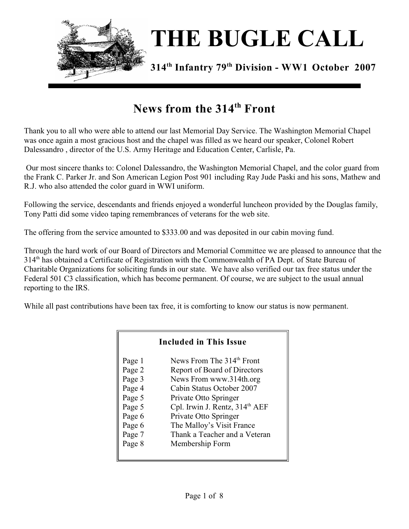

# **News from the 314<sup>th</sup> Front**

Thank you to all who were able to attend our last Memorial Day Service. The Washington Memorial Chapel was once again a most gracious host and the chapel was filled as we heard our speaker, Colonel Robert Dalessandro , director of the U.S. Army Heritage and Education Center, Carlisle, Pa.

 Our most sincere thanks to: Colonel Dalessandro, the Washington Memorial Chapel, and the color guard from the Frank C. Parker Jr. and Son American Legion Post 901 including Ray Jude Paski and his sons, Mathew and R.J. who also attended the color guard in WWI uniform.

Following the service, descendants and friends enjoyed a wonderful luncheon provided by the Douglas family, Tony Patti did some video taping remembrances of veterans for the web site.

The offering from the service amounted to \$333.00 and was deposited in our cabin moving fund.

Through the hard work of our Board of Directors and Memorial Committee we are pleased to announce that the 314<sup>th</sup> has obtained a Certificate of Registration with the Commonwealth of PA Dept. of State Bureau of Charitable Organizations for soliciting funds in our state. We have also verified our tax free status under the Federal 501 C3 classification, which has become permanent. Of course, we are subject to the usual annual reporting to the IRS.

While all past contributions have been tax free, it is comforting to know our status is now permanent.

Г

| <b>Included in This Issue</b> |                                            |  |  |  |
|-------------------------------|--------------------------------------------|--|--|--|
| Page 1                        | News From The 314 <sup>th</sup> Front      |  |  |  |
| Page 2                        | Report of Board of Directors               |  |  |  |
| Page 3                        | News From www.314th.org                    |  |  |  |
| Page 4                        | Cabin Status October 2007                  |  |  |  |
| Page 5                        | Private Otto Springer                      |  |  |  |
| Page 5                        | Cpl. Irwin J. Rentz, 314 <sup>th</sup> AEF |  |  |  |
| Page 6                        | Private Otto Springer                      |  |  |  |
| Page 6                        | The Malloy's Visit France                  |  |  |  |
| Page 7                        | Thank a Teacher and a Veteran              |  |  |  |
| Page 8                        | Membership Form                            |  |  |  |
|                               |                                            |  |  |  |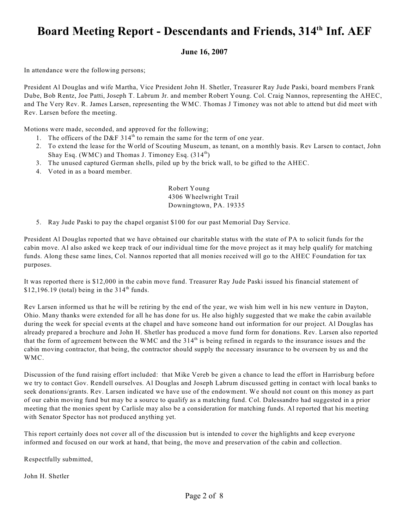### Board Meeting Report - Descendants and Friends, 314<sup>th</sup> Inf. AEF

#### **June 16, 2007**

In attendance were the following persons;

President Al Douglas and wife Martha, Vice President John H. Shetler, Treasurer Ray Jude Paski, board members Frank Dube, Bob Rentz, Joe Patti, Joseph T. Labrum Jr. and member Robert Young. Col. Craig Nannos, representing the AHEC, and The Very Rev. R. James Larsen, representing the WMC. Thomas J Timoney was not able to attend but did meet with Rev. Larsen before the meeting.

Motions were made, seconded, and approved for the following;

- 1. The officers of the D&F 314<sup>th</sup> to remain the same for the term of one year.
- 2. To extend the lease for the World of Scouting Museum, as tenant, on a monthly basis. Rev Larsen to contact, John Shay Esq. (WMC) and Thomas J. Timoney Esq.  $(314^{\text{th}})$
- 3. The unused captured German shells, piled up by the brick wall, to be gifted to the AHEC.
- 4. Voted in as a board member.

Robert Young 4306 Wheelwright Trail Downingtown, PA. 19335

5. Ray Jude Paski to pay the chapel organist \$100 for our past Memorial Day Service.

President Al Douglas reported that we have obtained our charitable status with the state of PA to solicit funds for the cabin move. Al also asked we keep track of our individual time for the move project as it may help qualify for matching funds. Along these same lines, Col. Nannos reported that all monies received will go to the AHEC Foundation for tax purposes.

It was reported there is \$12,000 in the cabin move fund. Treasurer Ray Jude Paski issued his financial statement of \$12,196.19 (total) being in the  $314<sup>th</sup>$  funds.

Rev Larsen informed us that he will be retiring by the end of the year, we wish him well in his new venture in Dayton, Ohio. Many thanks were extended for all he has done for us. He also highly suggested that we make the cabin available during the week for special events at the chapel and have someone hand out information for our project. Al Douglas has already prepared a brochure and John H. Shetler has produced a move fund form for donations. Rev. Larsen also reported that the form of agreement between the WMC and the  $314<sup>th</sup>$  is being refined in regards to the insurance issues and the cabin moving contractor, that being, the contractor should supply the necessary insurance to be overseen by us and the WMC.

Discussion of the fund raising effort included: that Mike Vereb be given a chance to lead the effort in Harrisburg before we try to contact Gov. Rendell ourselves. Al Douglas and Joseph Labrum discussed getting in contact with local banks to seek donations/grants. Rev. Larsen indicated we have use of the endowment. We should not count on this money as part of our cabin moving fund but may be a source to qualify as a matching fund. Col. Dalessandro had suggested in a prior meeting that the monies spent by Carlisle may also be a consideration for matching funds. Al reported that his meeting with Senator Spector has not produced anything yet.

This report certainly does not cover all of the discussion but is intended to cover the highlights and keep everyone informed and focused on our work at hand, that being, the move and preservation of the cabin and collection.

Respectfully submitted,

John H. Shetler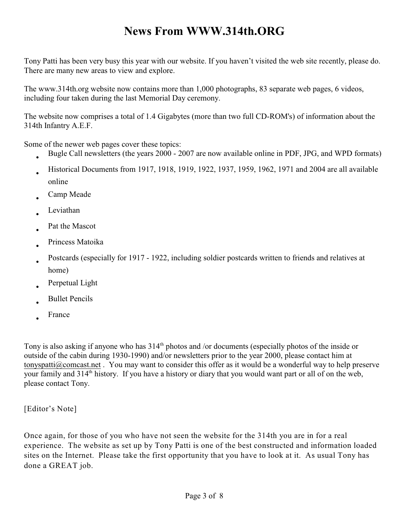## **News From WWW.314th.ORG**

Tony Patti has been very busy this year with our website. If you haven't visited the web site recently, please do. There are many new areas to view and explore.

The www.314th.org website now contains more than 1,000 photographs, 83 separate web pages, 6 videos, including four taken during the last Memorial Day ceremony.

The website now comprises a total of 1.4 Gigabytes (more than two full CD-ROM's) of information about the 314th Infantry A.E.F.

Some of the newer web pages cover these topics:

Bugle Call newsletters (the years 2000 - 2007 are now available online in PDF, JPG, and WPD formats) Historical Documents from 1917, 1918, 1919, 1922, 1937, 1959, 1962, 1971 and 2004 are all available online Camp Meade Leviathan Pat the Mascot Princess Matoika Postcards (especially for 1917 - 1922, including soldier postcards written to friends and relatives at home) Perpetual Light Bullet Pencils France

Tony is also asking if anyone who has  $314<sup>th</sup>$  photos and /or documents (especially photos of the inside or outside of the cabin during 1930-1990) and/or newsletters prior to the year 2000, please contact him at tonyspatti@comcast.net . You may want to consider this offer as it would be a wonderful way to help preserve your family and  $314<sup>th</sup>$  history. If you have a history or diary that you would want part or all of on the web, please contact Tony.

[Editor's Note]

Once again, for those of you who have not seen the website for the 314th you are in for a real experience. The website as set up by Tony Patti is one of the best constructed and information loaded sites on the Internet. Please take the first opportunity that you have to look at it. As usual Tony has done a GREAT job.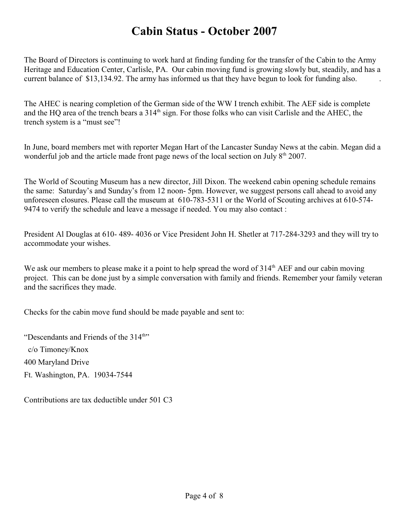## **Cabin Status - October 2007**

The Board of Directors is continuing to work hard at finding funding for the transfer of the Cabin to the Army Heritage and Education Center, Carlisle, PA. Our cabin moving fund is growing slowly but, steadily, and has a current balance of \$13,134.92. The army has informed us that they have begun to look for funding also.

The AHEC is nearing completion of the German side of the WW I trench exhibit. The AEF side is complete and the HQ area of the trench bears a 314<sup>th</sup> sign. For those folks who can visit Carlisle and the AHEC, the trench system is a "must see"!

In June, board members met with reporter Megan Hart of the Lancaster Sunday News at the cabin. Megan did a wonderful job and the article made front page news of the local section on July  $8<sup>th</sup> 2007$ .

The World of Scouting Museum has a new director, Jill Dixon. The weekend cabin opening schedule remains the same: Saturday's and Sunday's from 12 noon- 5pm. However, we suggest persons call ahead to avoid any unforeseen closures. Please call the museum at 610-783-5311 or the World of Scouting archives at 610-574- 9474 to verify the schedule and leave a message if needed. You may also contact :

President Al Douglas at 610- 489- 4036 or Vice President John H. Shetler at 717-284-3293 and they will try to accommodate your wishes.

We ask our members to please make it a point to help spread the word of  $314<sup>th</sup> AEF$  and our cabin moving project. This can be done just by a simple conversation with family and friends. Remember your family veteran and the sacrifices they made.

Checks for the cabin move fund should be made payable and sent to:

"Descendants and Friends of the  $314<sup>th</sup>$ " c/o Timoney/Knox 400 Maryland Drive Ft. Washington, PA. 19034-7544

Contributions are tax deductible under 501 C3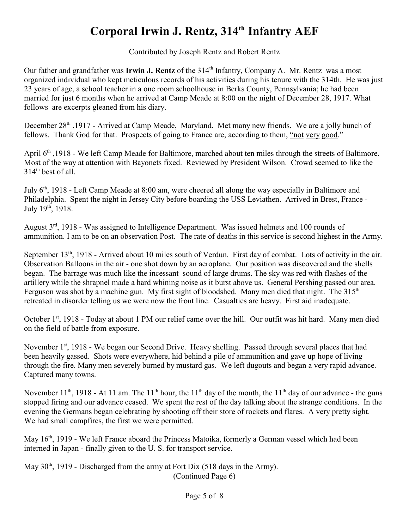# **Corporal Irwin J. Rentz, 314<sup>th</sup> Infantry AEF**

Contributed by Joseph Rentz and Robert Rentz

Our father and grandfather was Irwin J. Rentz of the 314<sup>th</sup> Infantry, Company A. Mr. Rentz was a most organized individual who kept meticulous records of his activities during his tenure with the 314th. He was just 23 years of age, a school teacher in a one room schoolhouse in Berks County, Pennsylvania; he had been married for just 6 months when he arrived at Camp Meade at 8:00 on the night of December 28, 1917. What follows are excerpts gleaned from his diary.

December 28<sup>th</sup> ,1917 - Arrived at Camp Meade, Maryland. Met many new friends. We are a jolly bunch of fellows. Thank God for that. Prospects of going to France are, according to them, "not very good."

April 6<sup>th</sup>, 1918 - We left Camp Meade for Baltimore, marched about ten miles through the streets of Baltimore. Most of the way at attention with Bayonets fixed. Reviewed by President Wilson. Crowd seemed to like the  $314<sup>th</sup>$  best of all.

July 6<sup>th</sup>, 1918 - Left Camp Meade at 8:00 am, were cheered all along the way especially in Baltimore and Philadelphia. Spent the night in Jersey City before boarding the USS Leviathen. Arrived in Brest, France - July  $19^{th}$ ,  $1918$ .

August  $3<sup>rd</sup>$ , 1918 - Was assigned to Intelligence Department. Was issued helmets and 100 rounds of ammunition. I am to be on an observation Post. The rate of deaths in this service is second highest in the Army.

September  $13<sup>th</sup>$ , 1918 - Arrived about 10 miles south of Verdun. First day of combat. Lots of activity in the air. Observation Balloons in the air - one shot down by an aeroplane. Our position was discovered and the shells began. The barrage was much like the incessant sound of large drums. The sky was red with flashes of the artillery while the shrapnel made a hard whining noise as it burst above us. General Pershing passed our area. Ferguson was shot by a machine gun. My first sight of bloodshed. Many men died that night. The  $315<sup>th</sup>$ retreated in disorder telling us we were now the front line. Casualties are heavy. First aid inadequate.

October 1<sup>st</sup>, 1918 - Today at about 1 PM our relief came over the hill. Our outfit was hit hard. Many men died on the field of battle from exposure.

November  $1<sup>st</sup>$ , 1918 - We began our Second Drive. Heavy shelling. Passed through several places that had been heavily gassed. Shots were everywhere, hid behind a pile of ammunition and gave up hope of living through the fire. Many men severely burned by mustard gas. We left dugouts and began a very rapid advance. Captured many towns.

November  $11<sup>th</sup>$ , 1918 - At 11 am. The  $11<sup>th</sup>$  hour, the  $11<sup>th</sup>$  day of the month, the  $11<sup>th</sup>$  day of our advance - the guns stopped firing and our advance ceased. We spent the rest of the day talking about the strange conditions. In the evening the Germans began celebrating by shooting off their store of rockets and flares. A very pretty sight. We had small campfires, the first we were permitted.

May 16<sup>th</sup>, 1919 - We left France aboard the Princess Matoika, formerly a German vessel which had been interned in Japan - finally given to the U. S. for transport service.

May  $30<sup>th</sup>$ , 1919 - Discharged from the army at Fort Dix (518 days in the Army). (Continued Page 6)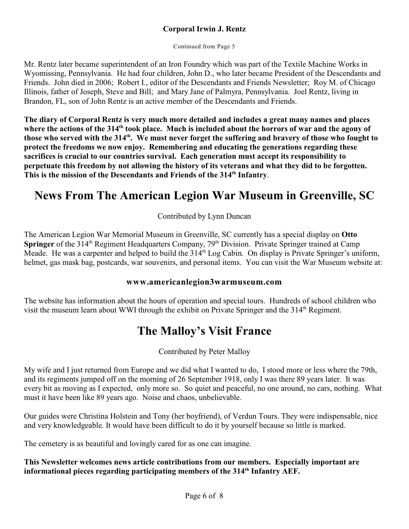#### **Corporal Irwin J. Rentz**

Continued from Page 5

Mr. Rentz later became superintendent of an Iron Foundry which was part of the Textile Machine Works in Wyomissing, Pennsylvania. He had four children, John D., who later became President of the Descendants and Friends. John died in 2006; Robert I., editor of the Descendants and Friends Newsletter; Roy M. of Chicago Illinois, father of Joseph, Steve and Bill; and Mary Jane of Palmyra, Pennsylvania. Joel Rentz, living in Brandon, FL, son of John Rentz is an active member of the Descendants and Friends.

**The diary of Corporal Rentz is very much more detailed and includes a great many names and places** where the actions of the 314<sup>th</sup> took place. Much is included about the horrors of war and the agony of those who served with the 314<sup>th</sup>. We must never forget the suffering and bravery of those who fought to **protect the freedoms we now enjoy. Remembering and educating the generations regarding these sacrifices is crucial to our countries survival. Each generation must accept its responsibility to perpetuate this freedom by not allowing the history of its veterans and what they did to be forgotten.**  This is the mission of the Descendants and Friends of the 314<sup>th</sup> Infantry.

### **News From The American Legion War Museum in Greenville, SC**

Contributed by Lynn Duncan

The American Legion War Memorial Museum in Greenville, SC currently has a special display on **Otto Springer** of the 314<sup>th</sup> Regiment Headquarters Company, 79<sup>th</sup> Division. Private Springer trained at Camp Meade. He was a carpenter and helped to build the 314<sup>th</sup> Log Cabin. On display is Private Springer's uniform, helmet, gas mask bag, postcards, war souvenirs, and personal items. You can visit the War Museum website at:

#### **www.americanlegion3warmuseum.com**

The website has information about the hours of operation and special tours. Hundreds of school children who visit the museum learn about WWI through the exhibit on Private Springer and the 314<sup>th</sup> Regiment.

#### **The Malloy's Visit France**

Contributed by Peter Malloy

My wife and I just returned from Europe and we did what I wanted to do, I stood more or less where the 79th, and its regiments jumped off on the morning of 26 September 1918, only I was there 89 years later. It was every bit as moving as I expected, only more so. So quiet and peaceful, no one around, no cars, nothing. What must it have been like 89 years ago. Noise and chaos, unbelievable.

Our guides were Christina Holstein and Tony (her boyfriend), of Verdun Tours. They were indispensable, nice and very knowledgeable. It would have been difficult to do it by yourself because so little is marked.

The cemetery is as beautiful and lovingly cared for as one can imagine.

**This Newsletter welcomes news article contributions from our members. Especially important are** informational pieces regarding participating members of the 314<sup>th</sup> Infantry AEF.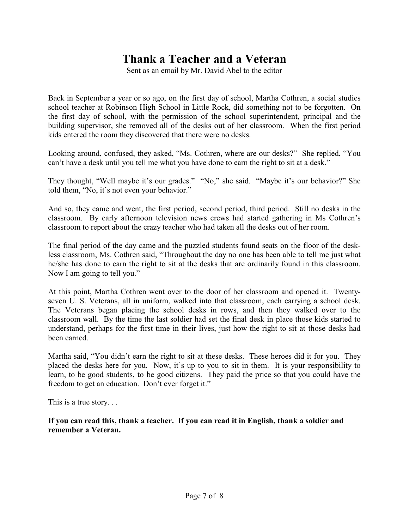### **Thank a Teacher and a Veteran**

Sent as an email by Mr. David Abel to the editor

Back in September a year or so ago, on the first day of school, Martha Cothren, a social studies school teacher at Robinson High School in Little Rock, did something not to be forgotten. On the first day of school, with the permission of the school superintendent, principal and the building supervisor, she removed all of the desks out of her classroom. When the first period kids entered the room they discovered that there were no desks.

Looking around, confused, they asked, "Ms. Cothren, where are our desks?" She replied, "You can't have a desk until you tell me what you have done to earn the right to sit at a desk."

They thought, "Well maybe it's our grades." "No," she said. "Maybe it's our behavior?" She told them, "No, it's not even your behavior."

And so, they came and went, the first period, second period, third period. Still no desks in the classroom. By early afternoon television news crews had started gathering in Ms Cothren's classroom to report about the crazy teacher who had taken all the desks out of her room.

The final period of the day came and the puzzled students found seats on the floor of the deskless classroom, Ms. Cothren said, "Throughout the day no one has been able to tell me just what he/she has done to earn the right to sit at the desks that are ordinarily found in this classroom. Now I am going to tell you."

At this point, Martha Cothren went over to the door of her classroom and opened it. Twentyseven U. S. Veterans, all in uniform, walked into that classroom, each carrying a school desk. The Veterans began placing the school desks in rows, and then they walked over to the classroom wall. By the time the last soldier had set the final desk in place those kids started to understand, perhaps for the first time in their lives, just how the right to sit at those desks had been earned.

Martha said, "You didn't earn the right to sit at these desks. These heroes did it for you. They placed the desks here for you. Now, it's up to you to sit in them. It is your responsibility to learn, to be good students, to be good citizens. They paid the price so that you could have the freedom to get an education. Don't ever forget it."

This is a true story. . .

**If you can read this, thank a teacher. If you can read it in English, thank a soldier and remember a Veteran.**